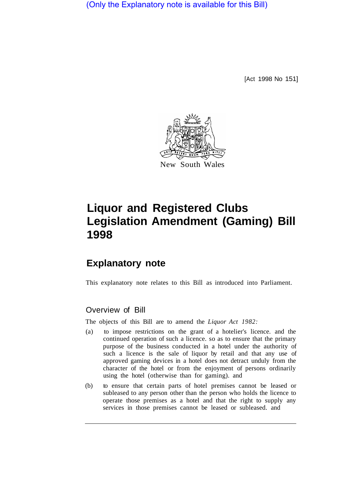(Only the Explanatory note is available for this Bill)

[Act 1998 No 151]



# **Liquor and Registered Clubs Legislation Amendment (Gaming) Bill 1998**

## **Explanatory note**

This explanatory note relates to this Bill as introduced into Parliament.

### Overview of Bill

The objects of this Bill are to amend the *Liquor Act 1982:* 

- (a) to impose restrictions on the grant of a hotelier's licence. and the continued operation of such a licence. so as to ensure that the primary purpose of the business conducted in a hotel under the authority of such a licence is the sale of liquor by retail and that any use of approved gaming devices in a hotel does not detract unduly from the character of the hotel or from the enjoyment of persons ordinarily using the hotel (otherwise than for gaming). and
- (b) to ensure that certain parts of hotel premises cannot be leased or subleased to any person other than the person who holds the licence to operate those premises as a hotel and that the right to supply any services in those premises cannot be leased or subleased. and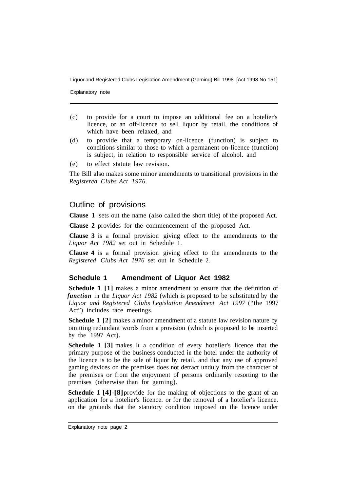Explanatory note

- (c) to provide for a court to impose an additional fee on a hotelier's licence, or an off-licence to sell liquor by retail, the conditions of which have been relaxed, and
- (d) to provide that a temporary on-licence (function) is subject to conditions similar to those to which a permanent on-licence (function) is subject, in relation to responsible service of alcohol. and
- (e) to effect statute law revision.

The Bill also makes some minor amendments to transitional provisions in the *Registered Clubs Act 1976.* 

#### Outline of provisions

**Clause 1** sets out the name (also called the short title) of the proposed Act.

**Clause 2** provides for the commencement of the proposed Act.

**Clause 3** is a formal provision giving effect to the amendments to the *Liquor Act 1982* set out in Schedule 1.

**Clause 4** is a formal provision giving effect to the amendments to the *Registered Clubs Act 1976* set out in Schedule 2.

#### **Schedule 1 Amendment of Liquor Act 1982**

**Schedule 1 [1]** makes a minor amendment to ensure that the definition of *function* in the *Liquor Act 1982* (which is proposed to be substituted by the *Liquor and Registered Clubs Legislation Amendment Act 1997* ("the 1997 Act") includes race meetings.

**Schedule 1 [2]** makes a minor amendment of a statute law revision nature by omitting redundant words from a provision (which is proposed to be inserted by the 1997 Act).

**Schedule 1 [3]** makes it a condition of every hotelier's licence that the primary purpose of the business conducted in the hotel under the authority of the licence is to be the sale of liquor by retail. and that any use of approved gaming devices on the premises does not detract unduly from the character of the premises or from the enjoyment of persons ordinarily resorting to the premises (otherwise than for gaming).

**Schedule 1 [4]-[8]** provide for the making of objections to the grant of an application for a hotelier's licence. or for the removal of a hotelier's licence. on the grounds that the statutory condition imposed on the licence under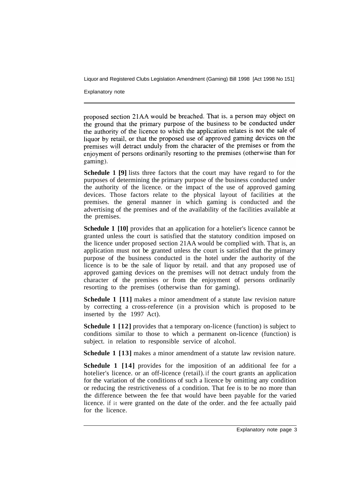Explanatory note

proposed section 21AA would be breached. That is, a person may object on the ground that the primary purpose of the business to be conducted under the authority of the licence to which the application relates is not the sale of liquor by retail, or that the proposed use of approved gaming devices on the premises will detract unduly from the character of the premises or from the enjoyment of persons ordinarily resorting to the premises (otherwise than for gaming).

**Schedule 1 [9]** lists three factors that the court may have regard to for the purposes of determining the primary purpose of the business conducted under the authority of the licence. or the impact of the use of approved gaming devices. Those factors relate to the physical layout of facilities at the premises. the general manner in which gaming is conducted and the advertising of the premises and of the availability of the facilities available at the premises.

**Schedule 1 [10]** provides that an application for a hotelier's licence cannot be granted unless the court is satisfied that the statutory condition imposed on the licence under proposed section 21AA would be complied with. That is, an application must not be granted unless the court is satisfied that the primary purpose of the business conducted in the hotel under the authority of the licence is to be the sale of liquor by retail. and that any proposed use of approved gaming devices on the premises will not detract unduly from the character of the premises or from the enjoyment of persons ordinarily resorting to the premises (otherwise than for gaming).

**Schedule 1 [11]** makes a minor amendment of a statute law revision nature by correcting a cross-reference (in a provision which is proposed to be inserted by the 1997 Act).

**Schedule 1 [12]** provides that a temporary on-licence (function) is subject to conditions similar to those to which a permanent on-licence (function) is subject. in relation to responsible service of alcohol.

**Schedule 1 [13]** makes a minor amendment of a statute law revision nature.

**Schedule 1 [14]** provides for the imposition of an additional fee for a hotelier's licence. or an off-licence (retail). if the court grants an application for the variation of the conditions of such a licence by omitting any condition or reducing the restrictiveness of a condition. That fee is to be no more than the difference between the fee that would have been payable for the varied licence. if it were granted on the date of the order. and the fee actually paid for the licence.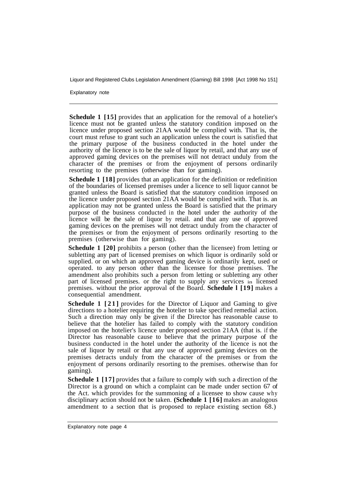Explanatory note

**Schedule 1 [15]** provides that an application for the removal of a hotelier's licence must not be granted unless the statutory condition imposed on the licence under proposed section 21AA would be complied with. That is, the court must refuse to grant such an application unless the court is satisfied that the primary purpose of the business conducted in the hotel under the authority of the licence is to be the sale of liquor by retail, and that any use of approved gaming devices on the premises will not detract unduly from the character of the premises or from the enjoyment of persons ordinarily resorting to the premises (otherwise than for gaming).

**Schedule 1 [18]** provides that an application for the definition or redefinition of the boundaries of licensed premises under a licence to sell liquor cannot be granted unless the Board is satisfied that the statutory condition imposed on the licence under proposed section 21AA would be complied with. That is. an application may not be granted unless the Board is satisfied that the primary purpose of the business conducted in the hotel under the authority of the licence will be the sale of liquor by retail. and that any use of approved gaming devices on the premises will not detract unduly from the character of the premises or from the enjoyment of persons ordinarily resorting to the premises (otherwise than for gaming).

**Schedule 1 [20]** prohibits a person (other than the licensee) from letting or subletting any part of licensed premises on which liquor is ordinarily sold or supplied. or on which an approved gaming device is ordinarily kept, used or operated. to any person other than the licensee for those premises. The amendment also prohibits such a person from letting or subletting any other part of licensed premises. or the right to supply any services in licensed premises. without the prior approval of the Board. **Schedule l [19]** makes a consequential amendment.

**Schedule 1 [21]** provides for the Director of Liquor and Gaming to give directions to a hotelier requiring the hotelier to take specified remedial action. Such a direction may only be given if the Director has reasonable cause to believe that the hotelier has failed to comply with the statutory condition imposed on the hotelier's licence under proposed section 21AA (that is. if the Director has reasonable cause to believe that the primary purpose of the business conducted in the hotel under the authority of the licence is not the sale of liquor by retail or that any use of approved gaming devices on the premises detracts unduly from the character of the premises or from the enjoyment of persons ordinarily resorting to the premises. otherwise than for gaming).

**Schedule 1 [17]** provides that a failure to comply with such a direction of the Director is a ground on which a complaint can be made under section 67 of the Act. which provides for the summoning of a licensee to show cause why disciplinary action should not be taken. **(Schedule 1 [16]** makes an analogous amendment to a section that is proposed to replace existing section 68.)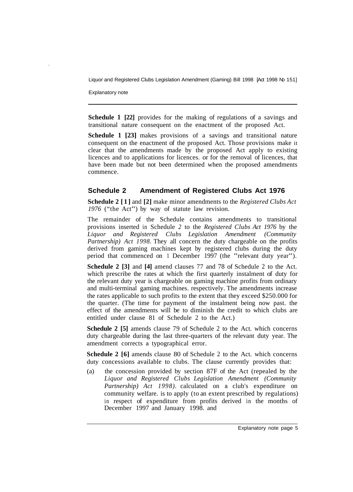Explanatory note

**Schedule 1 [22]** provides for the making of regulations of a savings and transitional nature consequent on the enactment of the proposed Act.

**Schedule 1 [23]** makes provisions of a savings and transitional nature consequent on the enactment of the proposed Act. Those provisions make it clear that the amendments made by the proposed Act apply to existing licences and to applications for licences. or for the removal of licences, that have been made but not been determined when the proposed amendments commence.

#### **Schedule 2 Amendment of Registered Clubs Act 1976**

**Schedule 2 [1]** and **[2]** make minor amendments to the *Registered Clubs Act <sup>1976</sup>*("the Act") by way of statute law revision.

The remainder of the Schedule contains amendments to transitional provisions inserted in Schedule *2* to the *Registered Clubs Act 1976* by the *Liquor and Registered Clubs Legislation Amendment (Community Partnership) Act 1998*. They all concern the duty chargeable on the profits derived from gaming machines kept by registered clubs during the duty period that commenced on 1 December 1997 (the "relevant duty year").

**Schedule 2 [3]** and **[4]** amend clauses 77 and 78 of Schedule 2 to the Act. which prescribe the rates at which the first quarterly instalment of duty for the relevant duty year is chargeable on gaming machine profits from ordinary and multi-terminal gaming machines. respectively. The amendments increase the rates applicable to such profits to the extent that they exceed \$250.000 for the quarter. (The time for payment of the instalment being now past. the effect of the amendments will be to diminish the credit to which clubs are entitled under clause 81 of Schedule 2 to the Act.)

**Schedule 2 [5]** amends clause 79 of Schedule 2 to the Act. which concerns duty chargeable during the last three-quarters of the relevant duty year. The amendment corrects a typographical error.

**Schedule 2 [6]** amends clause 80 of Schedule 2 to the Act. which concerns duty concessions available to clubs. The clause currently provides that:

(a) the concession provided by section 87F of the Act (repealed by the *Liquor and Registered Clubs Legislation Amendment (Community Partnership) Act 1998).* calculated on a club's expenditure on community welfare. is to apply (to an extent prescribed by regulations) in respect of expenditure from profits derived in the months of December 1997 and January 1998. and